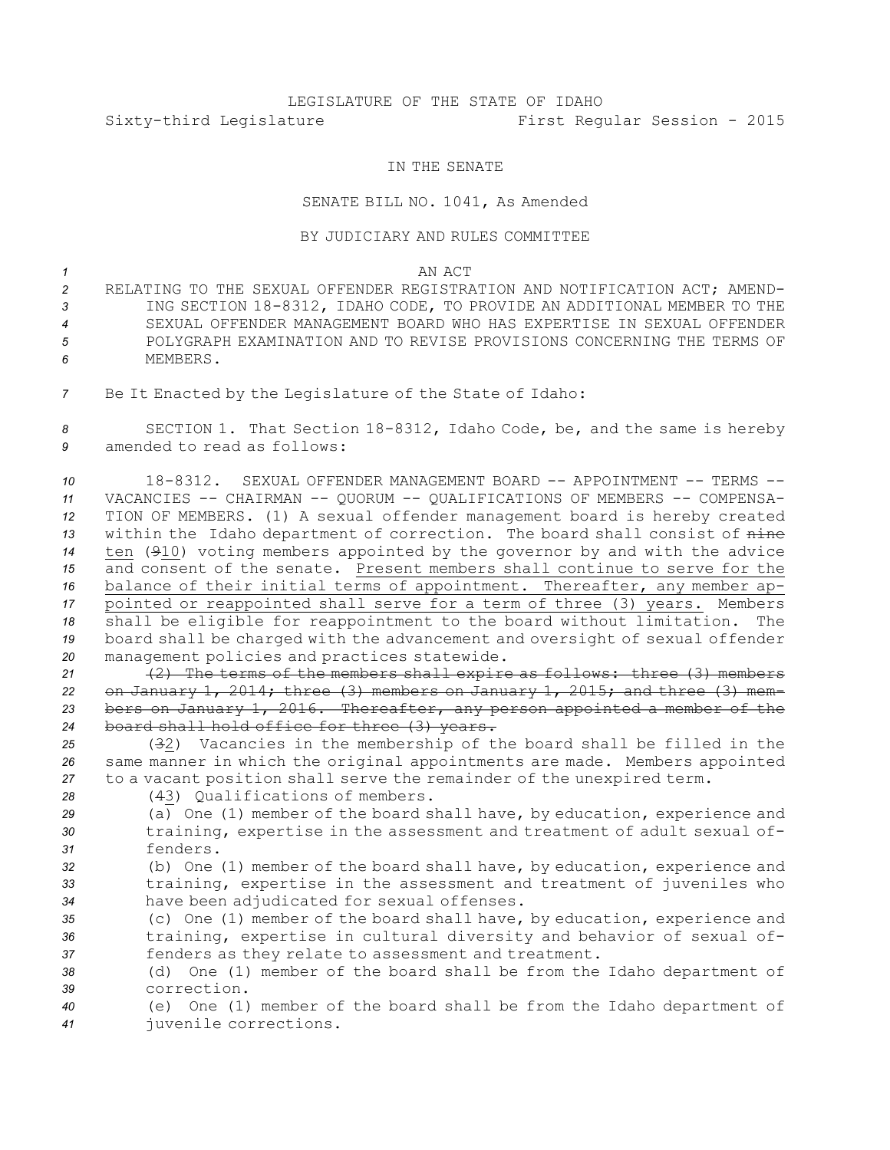## LEGISLATURE OF THE STATE OF IDAHO Sixty-third Legislature First Regular Session - 2015

## IN THE SENATE

## SENATE BILL NO. 1041, As Amended

## BY JUDICIARY AND RULES COMMITTEE

*1* AN ACT

- *2* RELATING TO THE SEXUAL OFFENDER REGISTRATION AND NOTIFICATION ACT; AMEND-*<sup>3</sup>* ING SECTION 18-8312, IDAHO CODE, TO PROVIDE AN ADDITIONAL MEMBER TO THE *4* SEXUAL OFFENDER MANAGEMENT BOARD WHO HAS EXPERTISE IN SEXUAL OFFENDER *5* POLYGRAPH EXAMINATION AND TO REVISE PROVISIONS CONCERNING THE TERMS OF *6* MEMBERS.
- *<sup>7</sup>* Be It Enacted by the Legislature of the State of Idaho:

*<sup>8</sup>* SECTION 1. That Section 18-8312, Idaho Code, be, and the same is hereby *9* amended to read as follows:

 18-8312. SEXUAL OFFENDER MANAGEMENT BOARD -- APPOINTMENT -- TERMS -- VACANCIES -- CHAIRMAN -- QUORUM -- QUALIFICATIONS OF MEMBERS -- COMPENSA- TION OF MEMBERS. (1) <sup>A</sup> sexual offender management board is hereby created within the Idaho department of correction. The board shall consist of nine ten (910) voting members appointed by the governor by and with the advice and consent of the senate. Present members shall continue to serve for the balance of their initial terms of appointment. Thereafter, any member ap- pointed or reappointed shall serve for <sup>a</sup> term of three (3) years. Members shall be eligible for reappointment to the board without limitation. The board shall be charged with the advancement and oversight of sexual offender management policies and practices statewide.

 (2) The terms of the members shall expire as follows: three (3) members on January 1, 2014; three (3) members on January 1, 2015; and three (3) mem- bers on January 1, 2016. Thereafter, any person appointed <sup>a</sup> member of the board shall hold office for three (3) years.

*<sup>25</sup>* (32) Vacancies in the membership of the board shall be filled in the *<sup>26</sup>* same manner in which the original appointments are made. Members appointed *<sup>27</sup>* to <sup>a</sup> vacant position shall serve the remainder of the unexpired term.

*28* (43) Qualifications of members.

*<sup>29</sup>* (a) One (1) member of the board shall have, by education, experience and *<sup>30</sup>* training, expertise in the assessment and treatment of adult sexual of-*31* fenders.

*<sup>32</sup>* (b) One (1) member of the board shall have, by education, experience and *<sup>33</sup>* training, expertise in the assessment and treatment of juveniles who *<sup>34</sup>* have been adjudicated for sexual offenses.

*<sup>35</sup>* (c) One (1) member of the board shall have, by education, experience and *<sup>36</sup>* training, expertise in cultural diversity and behavior of sexual of-*<sup>37</sup>* fenders as they relate to assessment and treatment.

*<sup>38</sup>* (d) One (1) member of the board shall be from the Idaho department of *39* correction.

*<sup>40</sup>* (e) One (1) member of the board shall be from the Idaho department of *<sup>41</sup>* juvenile corrections.